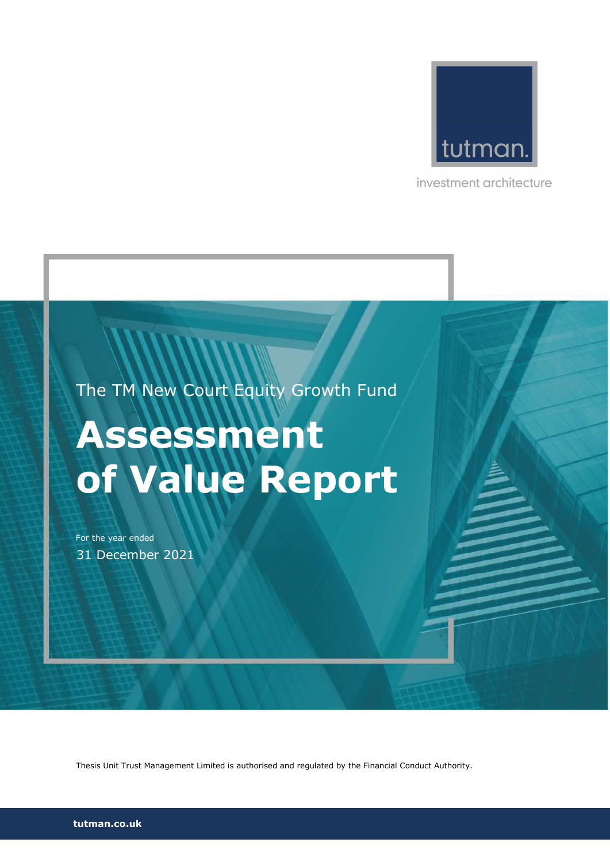

investment architecture

The TM New Court Equity Growth Fund

# Assessment of Value Report

For the year ended 31 December 2021

Thesis Unit Trust Management Limited is authorised and regulated by the Financial Conduct Authority.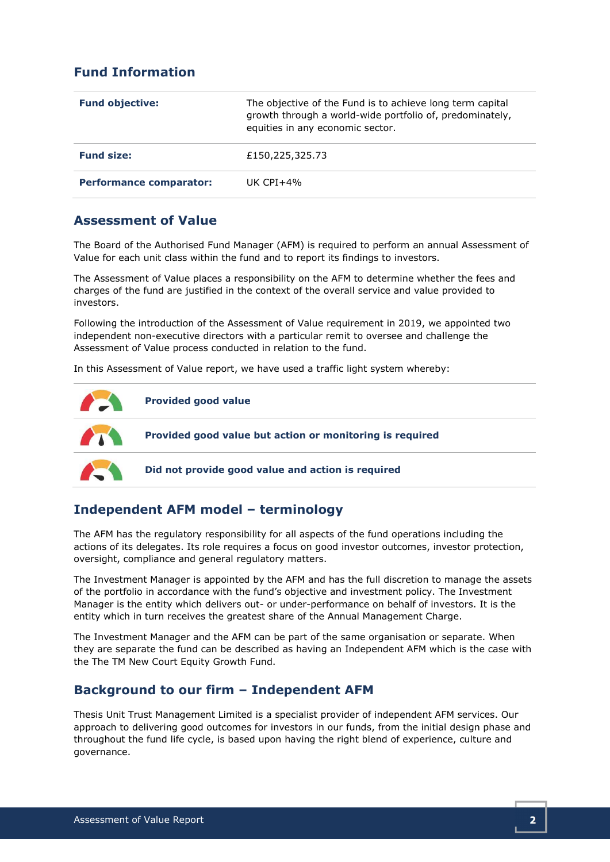# Fund Information

| <b>Fund objective:</b>         | The objective of the Fund is to achieve long term capital<br>growth through a world-wide portfolio of, predominately,<br>equities in any economic sector. |
|--------------------------------|-----------------------------------------------------------------------------------------------------------------------------------------------------------|
| <b>Fund size:</b>              | £150,225,325.73                                                                                                                                           |
| <b>Performance comparator:</b> | UK CPI $+4\%$                                                                                                                                             |

## Assessment of Value

The Board of the Authorised Fund Manager (AFM) is required to perform an annual Assessment of Value for each unit class within the fund and to report its findings to investors.

The Assessment of Value places a responsibility on the AFM to determine whether the fees and charges of the fund are justified in the context of the overall service and value provided to investors.

Following the introduction of the Assessment of Value requirement in 2019, we appointed two independent non-executive directors with a particular remit to oversee and challenge the Assessment of Value process conducted in relation to the fund.

In this Assessment of Value report, we have used a traffic light system whereby:



# Independent AFM model – terminology

The AFM has the regulatory responsibility for all aspects of the fund operations including the actions of its delegates. Its role requires a focus on good investor outcomes, investor protection, oversight, compliance and general regulatory matters.

The Investment Manager is appointed by the AFM and has the full discretion to manage the assets of the portfolio in accordance with the fund's objective and investment policy. The Investment Manager is the entity which delivers out- or under-performance on behalf of investors. It is the entity which in turn receives the greatest share of the Annual Management Charge.

The Investment Manager and the AFM can be part of the same organisation or separate. When they are separate the fund can be described as having an Independent AFM which is the case with the The TM New Court Equity Growth Fund.

## Background to our firm – Independent AFM

Thesis Unit Trust Management Limited is a specialist provider of independent AFM services. Our approach to delivering good outcomes for investors in our funds, from the initial design phase and throughout the fund life cycle, is based upon having the right blend of experience, culture and governance.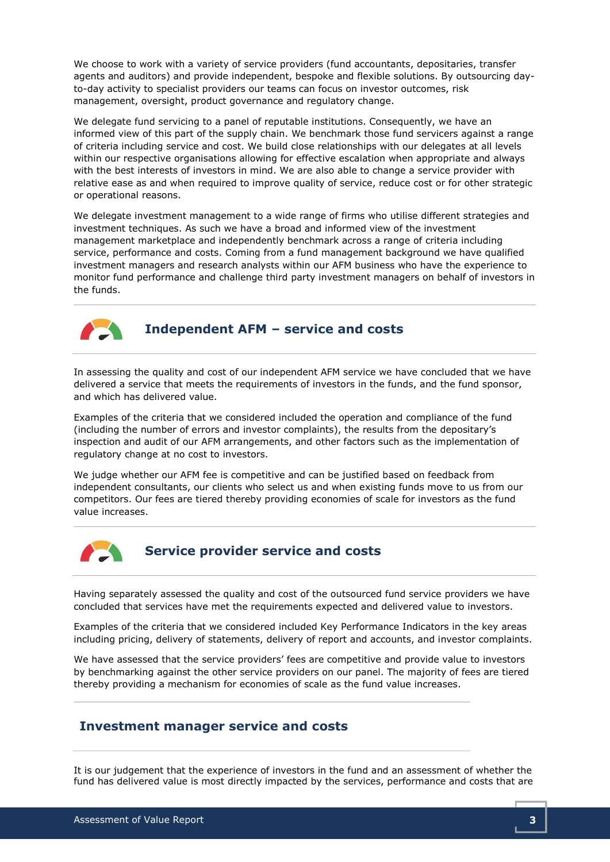We choose to work with a variety of service providers (fund accountants, depositaries, transfer agents and auditors) and provide independent, bespoke and flexible solutions. By outsourcing dayto-day activity to specialist providers our teams can focus on investor outcomes, risk management, oversight, product governance and regulatory change.

We delegate fund servicing to a panel of reputable institutions. Consequently, we have an informed view of this part of the supply chain. We benchmark those fund servicers against a range of criteria including service and cost. We build close relationships with our delegates at all levels within our respective organisations allowing for effective escalation when appropriate and always with the best interests of investors in mind. We are also able to change a service provider with relative ease as and when required to improve quality of service, reduce cost or for other strategic or operational reasons.

We delegate investment management to a wide range of firms who utilise different strategies and investment techniques. As such we have a broad and informed view of the investment management marketplace and independently benchmark across a range of criteria including service, performance and costs. Coming from a fund management background we have qualified investment managers and research analysts within our AFM business who have the experience to monitor fund performance and challenge third party investment managers on behalf of investors in the funds.



## Independent AFM – service and costs

In assessing the quality and cost of our independent AFM service we have concluded that we have delivered a service that meets the requirements of investors in the funds, and the fund sponsor, and which has delivered value.

Examples of the criteria that we considered included the operation and compliance of the fund (including the number of errors and investor complaints), the results from the depositary's inspection and audit of our AFM arrangements, and other factors such as the implementation of regulatory change at no cost to investors.

We judge whether our AFM fee is competitive and can be justified based on feedback from independent consultants, our clients who select us and when existing funds move to us from our competitors. Our fees are tiered thereby providing economies of scale for investors as the fund value increases.



## Service provider service and costs

Having separately assessed the quality and cost of the outsourced fund service providers we have concluded that services have met the requirements expected and delivered value to investors.

Examples of the criteria that we considered included Key Performance Indicators in the key areas including pricing, delivery of statements, delivery of report and accounts, and investor complaints.

We have assessed that the service providers' fees are competitive and provide value to investors by benchmarking against the other service providers on our panel. The majority of fees are tiered thereby providing a mechanism for economies of scale as the fund value increases.

#### Investment manager service and costs

It is our judgement that the experience of investors in the fund and an assessment of whether the fund has delivered value is most directly impacted by the services, performance and costs that are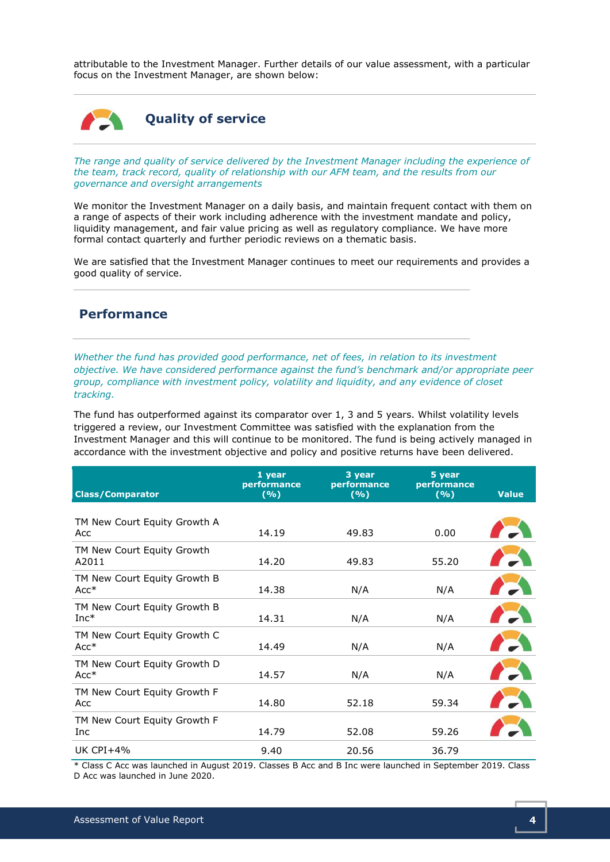attributable to the Investment Manager. Further details of our value assessment, with a particular focus on the Investment Manager, are shown below:

# Quality of service

The range and quality of service delivered by the Investment Manager including the experience of the team, track record, quality of relationship with our AFM team, and the results from our governance and oversight arrangements

We monitor the Investment Manager on a daily basis, and maintain frequent contact with them on a range of aspects of their work including adherence with the investment mandate and policy, liquidity management, and fair value pricing as well as regulatory compliance. We have more formal contact quarterly and further periodic reviews on a thematic basis.

We are satisfied that the Investment Manager continues to meet our requirements and provides a good quality of service.

#### Performance

Whether the fund has provided good performance, net of fees, in relation to its investment objective. We have considered performance against the fund's benchmark and/or appropriate peer group, compliance with investment policy, volatility and liquidity, and any evidence of closet tracking.

The fund has outperformed against its comparator over 1, 3 and 5 years. Whilst volatility levels triggered a review, our Investment Committee was satisfied with the explanation from the Investment Manager and this will continue to be monitored. The fund is being actively managed in accordance with the investment objective and policy and positive returns have been delivered.

| <b>Class/Comparator</b>                | 1 year<br>performance<br>(%) | 3 year<br>performance<br>(%) | 5 year<br>performance<br>(%) | <b>Value</b> |
|----------------------------------------|------------------------------|------------------------------|------------------------------|--------------|
|                                        |                              |                              |                              |              |
| TM New Court Equity Growth A<br>Acc    | 14.19                        | 49.83                        | 0.00                         |              |
| TM New Court Equity Growth<br>A2011    | 14.20                        | 49.83                        | 55.20                        |              |
| TM New Court Equity Growth B<br>$Acc*$ | 14.38                        | N/A                          | N/A                          |              |
| TM New Court Equity Growth B<br>$Inc*$ | 14.31                        | N/A                          | N/A                          |              |
| TM New Court Equity Growth C<br>$Acc*$ | 14.49                        | N/A                          | N/A                          |              |
| TM New Court Equity Growth D<br>$Acc*$ | 14.57                        | N/A                          | N/A                          |              |
| TM New Court Equity Growth F<br>Acc    | 14.80                        | 52.18                        | 59.34                        |              |
| TM New Court Equity Growth F<br>Inc    | 14.79                        | 52.08                        | 59.26                        |              |
| UK $CPI+4%$                            | 9.40                         | 20.56                        | 36.79                        |              |

\* Class C Acc was launched in August 2019. Classes B Acc and B Inc were launched in September 2019. Class D Acc was launched in June 2020.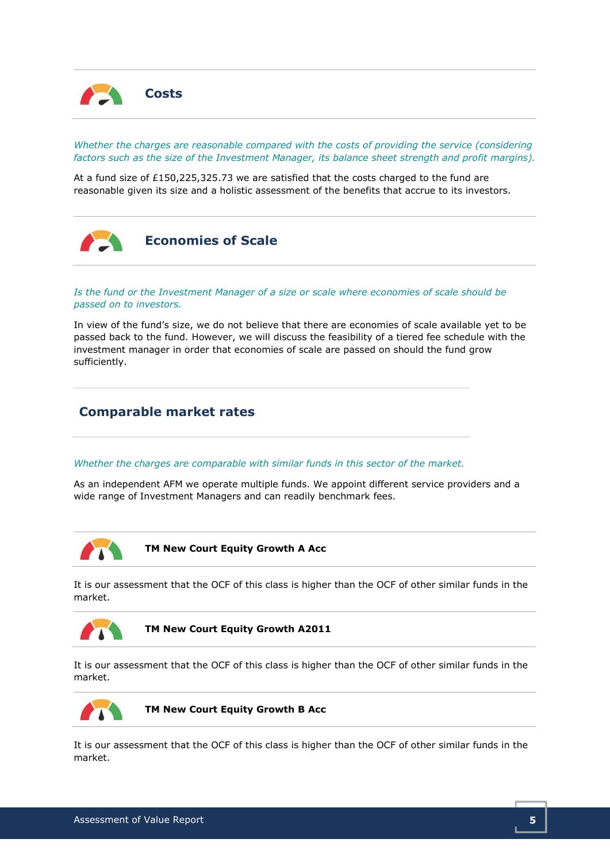

Whether the charges are reasonable compared with the costs of providing the service (considering factors such as the size of the Investment Manager, its balance sheet strength and profit margins).

At a fund size of £150,225,325.73 we are satisfied that the costs charged to the fund are reasonable given its size and a holistic assessment of the benefits that accrue to its investors.



#### Is the fund or the Investment Manager of a size or scale where economies of scale should be passed on to investors.

In view of the fund's size, we do not believe that there are economies of scale available yet to be passed back to the fund. However, we will discuss the feasibility of a tiered fee schedule with the investment manager in order that economies of scale are passed on should the fund grow sufficiently.

# Comparable market rates

#### Whether the charges are comparable with similar funds in this sector of the market.

As an independent AFM we operate multiple funds. We appoint different service providers and a wide range of Investment Managers and can readily benchmark fees.



TM New Court Equity Growth A Acc

It is our assessment that the OCF of this class is higher than the OCF of other similar funds in the market.



TM New Court Equity Growth A2011

It is our assessment that the OCF of this class is higher than the OCF of other similar funds in the market.



TM New Court Equity Growth B Acc

It is our assessment that the OCF of this class is higher than the OCF of other similar funds in the market.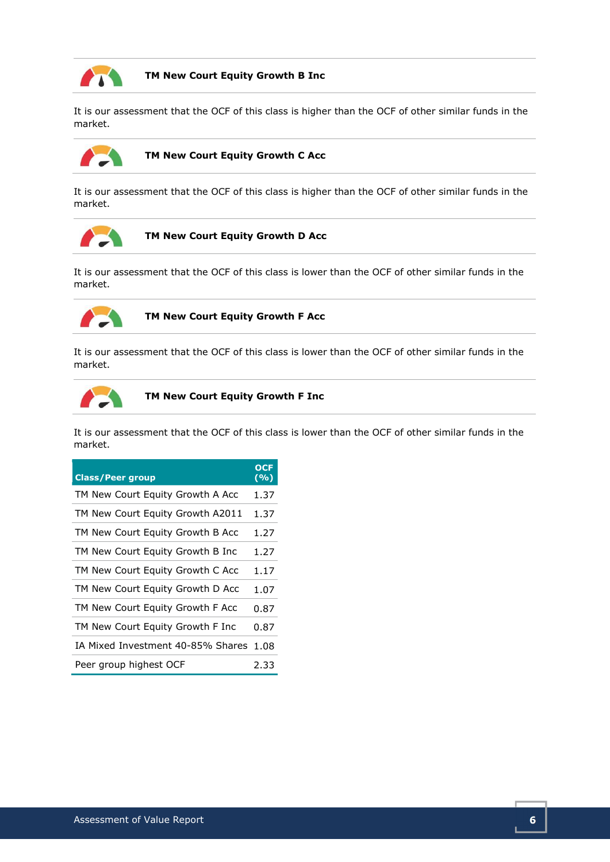

#### TM New Court Equity Growth B Inc

It is our assessment that the OCF of this class is higher than the OCF of other similar funds in the market.



#### TM New Court Equity Growth C Acc

It is our assessment that the OCF of this class is higher than the OCF of other similar funds in the market.



TM New Court Equity Growth D Acc

It is our assessment that the OCF of this class is lower than the OCF of other similar funds in the market.



TM New Court Equity Growth F Acc

It is our assessment that the OCF of this class is lower than the OCF of other similar funds in the market.



TM New Court Equity Growth F Inc

It is our assessment that the OCF of this class is lower than the OCF of other similar funds in the market.

| <b>Class/Peer group</b>                | <b>OCF</b><br>(%) |
|----------------------------------------|-------------------|
| TM New Court Equity Growth A Acc       | 1.37              |
| TM New Court Equity Growth A2011       | 1.37              |
| TM New Court Equity Growth B Acc       | 1.27              |
| TM New Court Equity Growth B Inc       | 1.27              |
| TM New Court Equity Growth C Acc       | 1.17              |
| TM New Court Equity Growth D Acc       | 1.07              |
| TM New Court Equity Growth F Acc       | 0.87              |
| TM New Court Equity Growth F Inc       | 0.87              |
| IA Mixed Investment 40-85% Shares 1.08 |                   |
| Peer group highest OCF                 | 2.33              |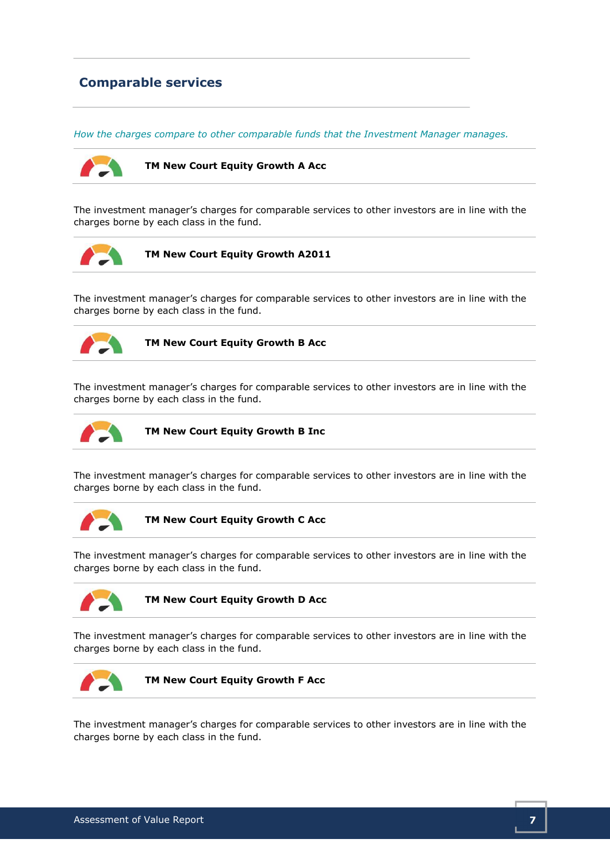# Comparable services

How the charges compare to other comparable funds that the Investment Manager manages.



TM New Court Equity Growth A Acc

The investment manager's charges for comparable services to other investors are in line with the charges borne by each class in the fund.



TM New Court Equity Growth A2011

The investment manager's charges for comparable services to other investors are in line with the charges borne by each class in the fund.



TM New Court Equity Growth B Acc

The investment manager's charges for comparable services to other investors are in line with the charges borne by each class in the fund.



TM New Court Equity Growth B Inc

The investment manager's charges for comparable services to other investors are in line with the charges borne by each class in the fund.



TM New Court Equity Growth C Acc

The investment manager's charges for comparable services to other investors are in line with the charges borne by each class in the fund.



TM New Court Equity Growth D Acc

The investment manager's charges for comparable services to other investors are in line with the charges borne by each class in the fund.



TM New Court Equity Growth F Acc

The investment manager's charges for comparable services to other investors are in line with the charges borne by each class in the fund.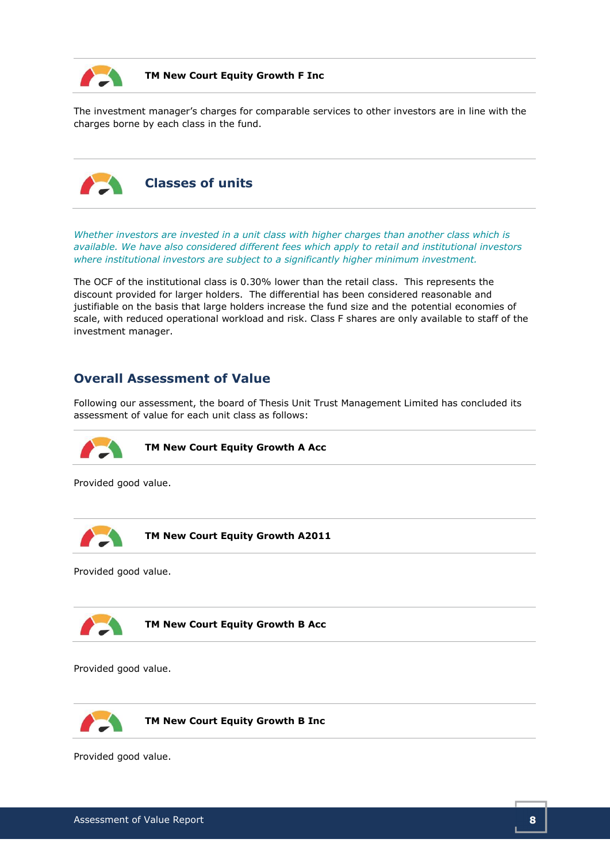

#### TM New Court Equity Growth F Inc

The investment manager's charges for comparable services to other investors are in line with the charges borne by each class in the fund.



Classes of units

Whether investors are invested in a unit class with higher charges than another class which is available. We have also considered different fees which apply to retail and institutional investors where institutional investors are subject to a significantly higher minimum investment.

The OCF of the institutional class is 0.30% lower than the retail class. This represents the discount provided for larger holders. The differential has been considered reasonable and justifiable on the basis that large holders increase the fund size and the potential economies of scale, with reduced operational workload and risk. Class F shares are only available to staff of the investment manager.

## Overall Assessment of Value

Following our assessment, the board of Thesis Unit Trust Management Limited has concluded its assessment of value for each unit class as follows:



TM New Court Equity Growth A Acc

Provided good value.

TM New Court Equity Growth A2011

Provided good value.



TM New Court Equity Growth B Acc

Provided good value.



TM New Court Equity Growth B Inc

Provided good value.